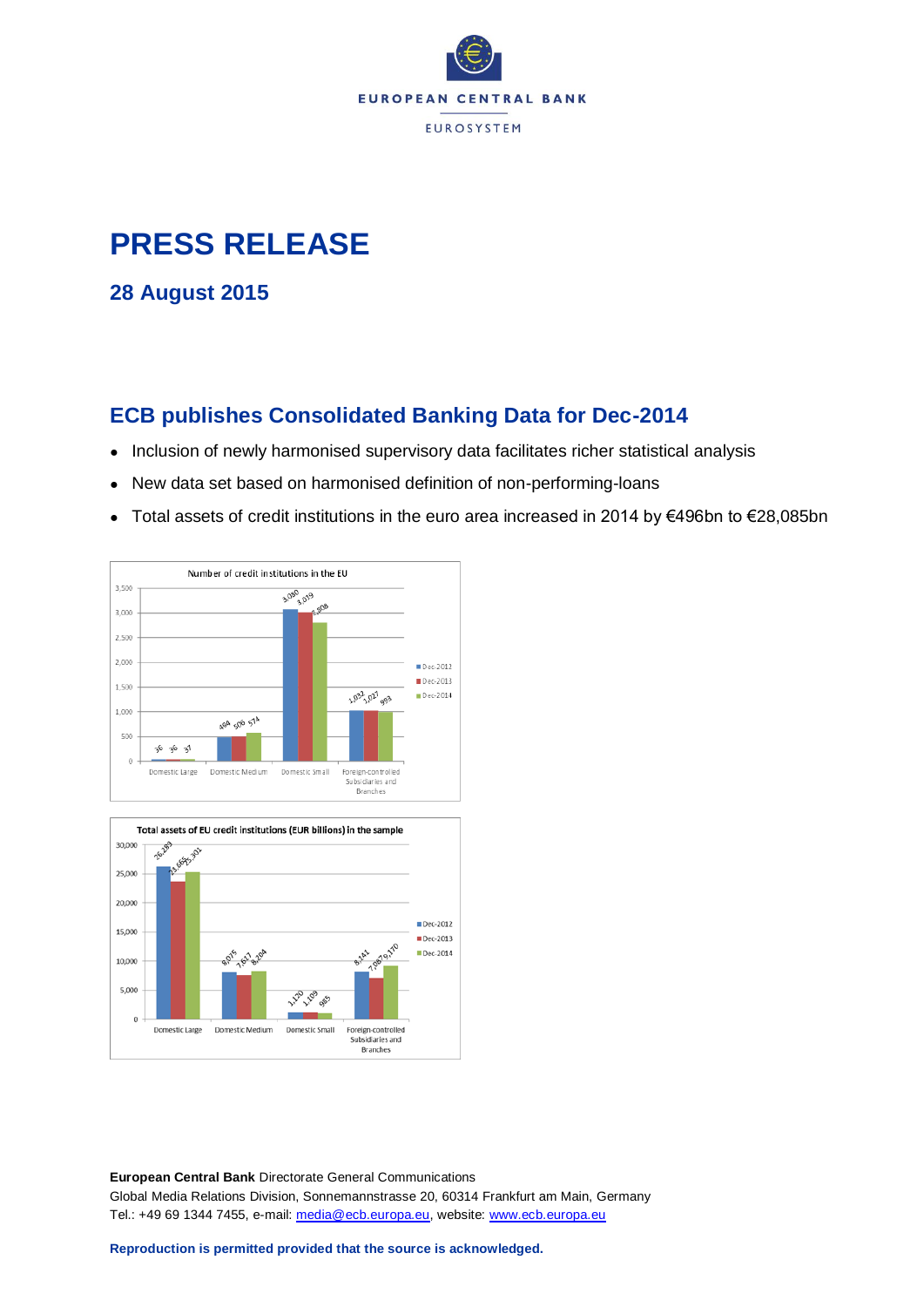

## **PRESS RELEASE**

**28 August 2015**

## **ECB publishes Consolidated Banking Data for Dec-2014**

- Inclusion of newly harmonised supervisory data facilitates richer statistical analysis
- New data set based on harmonised definition of non-performing-loans
- Total assets of credit institutions in the euro area increased in 2014 by €496bn to €28,085bn





**European Central Bank** Directorate General Communications Global Media Relations Division, Sonnemannstrasse 20, 60314 Frankfurt am Main, Germany Tel.: +49 69 1344 7455, e-mail: [media@ecb.europa.eu,](mailto:media@ecb.europa.eu) website: [www.ecb.europa.eu](http://www.ecb.europa.eu/)

**Reproduction is permitted provided that the source is acknowledged.**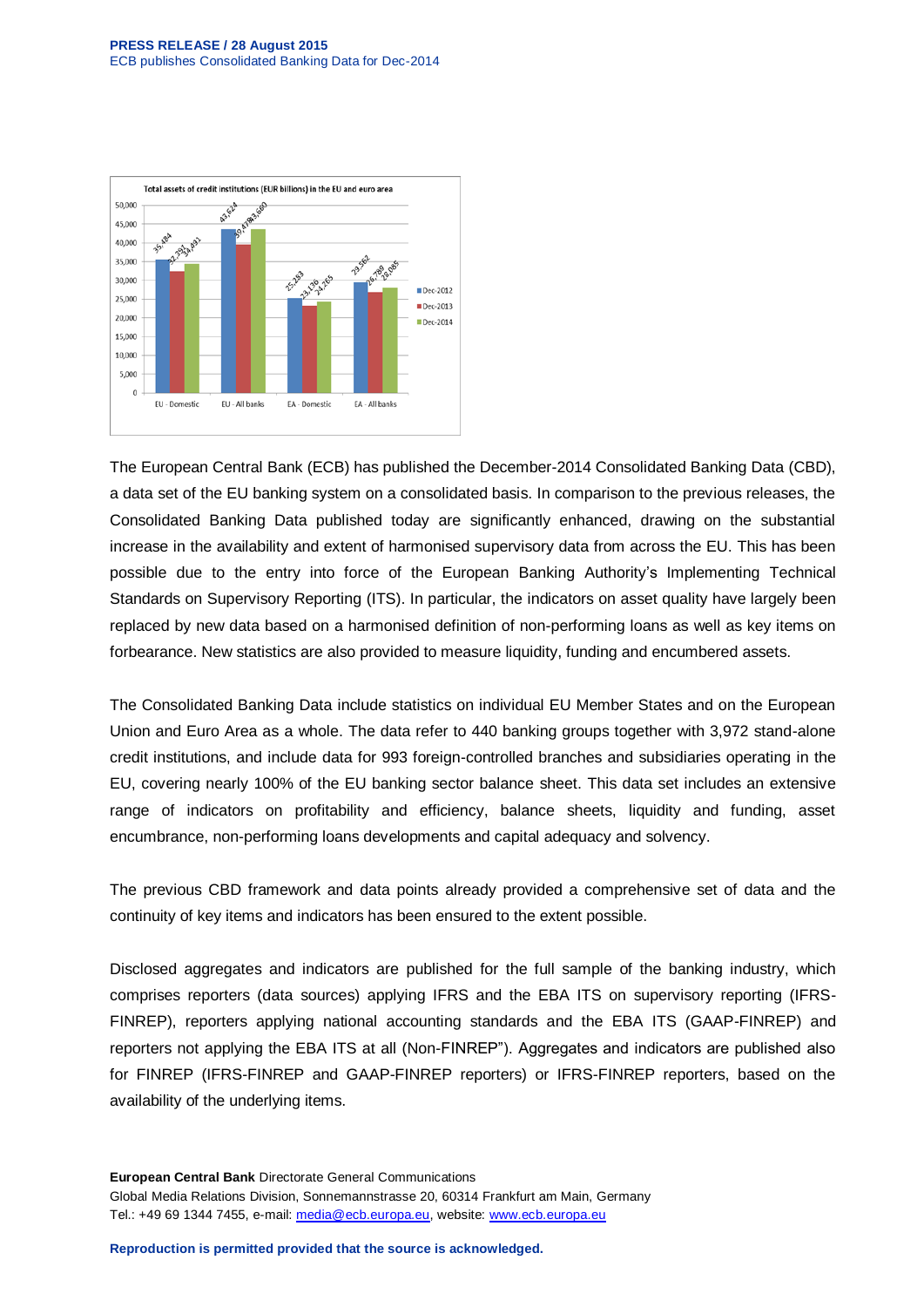

The European Central Bank (ECB) has published the December-2014 Consolidated Banking Data (CBD), a data set of the EU banking system on a consolidated basis. In comparison to the previous releases, the Consolidated Banking Data published today are significantly enhanced, drawing on the substantial increase in the availability and extent of harmonised supervisory data from across the EU. This has been possible due to the entry into force of the European Banking Authority's Implementing Technical Standards on Supervisory Reporting (ITS). In particular, the indicators on asset quality have largely been replaced by new data based on a harmonised definition of non-performing loans as well as key items on forbearance. New statistics are also provided to measure liquidity, funding and encumbered assets.

The Consolidated Banking Data include statistics on individual EU Member States and on the European Union and Euro Area as a whole. The data refer to 440 banking groups together with 3,972 stand-alone credit institutions, and include data for 993 foreign-controlled branches and subsidiaries operating in the EU, covering nearly 100% of the EU banking sector balance sheet. This data set includes an extensive range of indicators on profitability and efficiency, balance sheets, liquidity and funding, asset encumbrance, non-performing loans developments and capital adequacy and solvency.

The previous CBD framework and data points already provided a comprehensive set of data and the continuity of key items and indicators has been ensured to the extent possible.

Disclosed aggregates and indicators are published for the full sample of the banking industry, which comprises reporters (data sources) applying IFRS and the EBA ITS on supervisory reporting (IFRS-FINREP), reporters applying national accounting standards and the EBA ITS (GAAP-FINREP) and reporters not applying the EBA ITS at all (Non-FINREP"). Aggregates and indicators are published also for FINREP (IFRS-FINREP and GAAP-FINREP reporters) or IFRS-FINREP reporters, based on the availability of the underlying items.

**European Central Bank** Directorate General Communications Global Media Relations Division, Sonnemannstrasse 20, 60314 Frankfurt am Main, Germany Tel.: +49 69 1344 7455, e-mail: [media@ecb.europa.eu,](mailto:media@ecb.europa.eu) website: [www.ecb.europa.eu](http://www.ecb.europa.eu/)

**Reproduction is permitted provided that the source is acknowledged.**